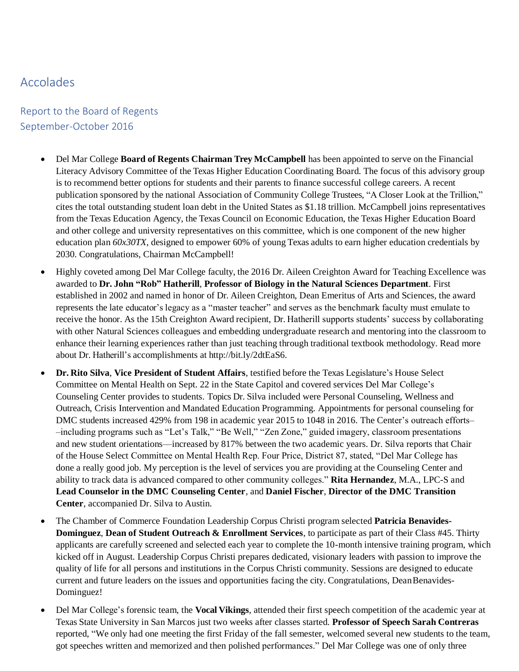## Accolades

## Report to the Board of Regents September-October 2016

- Del Mar College **Board of Regents Chairman Trey McCampbell** has been appointed to serve on the Financial Literacy Advisory Committee of the Texas Higher Education Coordinating Board. The focus of this advisory group is to recommend better options for students and their parents to finance successful college careers. A recent publication sponsored by the national Association of Community College Trustees, "A Closer Look at the Trillion," cites the total outstanding student loan debt in the United States as \$1.18 trillion. McCampbell joins representatives from the Texas Education Agency, the Texas Council on Economic Education, the Texas Higher Education Board and other college and university representatives on this committee, which is one component of the new higher education plan *60x30TX*, designed to empower 60% of young Texas adults to earn higher education credentials by 2030. Congratulations, Chairman McCampbell!
- Highly coveted among Del Mar College faculty, the 2016 Dr. Aileen Creighton Award for Teaching Excellence was awarded to **Dr. John "Rob" Hatherill**, **Professor of Biology in the Natural Sciences Department**. First established in 2002 and named in honor of Dr. Aileen Creighton, Dean Emeritus of Arts and Sciences, the award represents the late educator's legacy as a "master teacher" and serves as the benchmark faculty must emulate to receive the honor. As the 15th Creighton Award recipient, Dr. Hatherill supports students' success by collaborating with other Natural Sciences colleagues and embedding undergraduate research and mentoring into the classroom to enhance their learning experiences rather than just teaching through traditional textbook methodology. Read more about Dr. Hatherill's accomplishments at [http://bit.ly/2dtEaS6.](http://bit.ly/2dtEaS6)
- **Dr. Rito Silva**, **Vice President of Student Affairs**, testified before the Texas Legislature's House Select Committee on Mental Health on Sept. 22 in the State Capitol and covered services Del Mar College's Counseling Center provides to students. Topics Dr. Silva included were Personal Counseling, Wellness and Outreach, Crisis Intervention and Mandated Education Programming. Appointments for personal counseling for DMC students increased 429% from 198 in academic year 2015 to 1048 in 2016. The Center's outreach efforts– –including programs such as "Let's Talk," "Be Well," "Zen Zone," guided imagery, classroom presentations and new student orientations––increased by 817% between the two academic years. Dr. Silva reports that Chair of the House Select Committee on Mental Health Rep. Four Price, District 87, stated, "Del Mar College has done a really good job. My perception is the level of services you are providing at the Counseling Center and ability to track data is advanced compared to other community colleges." **Rita Hernandez**, M.A., LPC-S and **Lead Counselor in the DMC Counseling Center**, and **Daniel Fischer**, **Director of the DMC Transition Center**, accompanied Dr. Silva to Austin.
- The Chamber of Commerce Foundation Leadership Corpus Christi program selected **Patricia Benavides-Dominguez**, **Dean of Student Outreach & Enrollment Services**, to participate as part of their Class #45. Thirty applicants are carefully screened and selected each year to complete the 10-month intensive training program, which kicked off in August. Leadership Corpus Christi prepares dedicated, visionary leaders with passion to improve the quality of life for all persons and institutions in the Corpus Christi community. Sessions are designed to educate current and future leaders on the issues and opportunities facing the city. Congratulations, DeanBenavides-Dominguez!
- Del Mar College's forensic team, the **Vocal Vikings**, attended their first speech competition of the academic year at Texas State University in San Marcos just two weeks after classes started. **Professor of Speech Sarah Contreras** reported, "We only had one meeting the first Friday of the fall semester, welcomed several new students to the team, got speeches written and memorized and then polished performances." Del Mar College was one of only three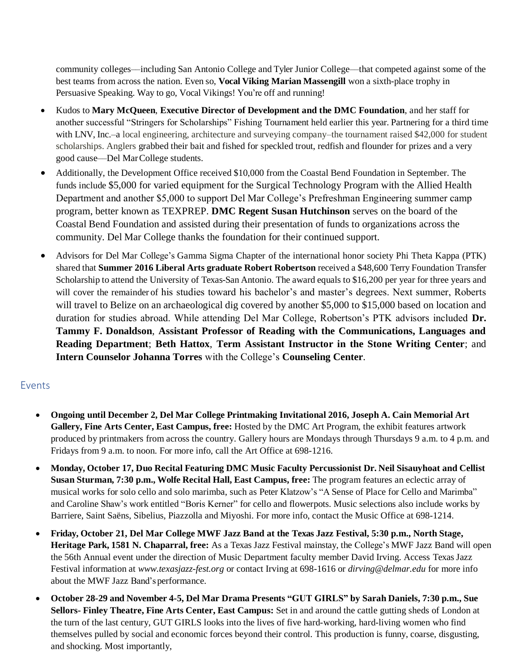community colleges––including San Antonio College and Tyler Junior College––that competed against some of the best teams from across the nation. Even so, **Vocal Viking Marian Massengill** won a sixth-place trophy in Persuasive Speaking. Way to go, Vocal Vikings! You're off and running!

- Kudos to **Mary McQueen**, **Executive Director of Development and the DMC Foundation**, and her staff for another successful "Stringers for Scholarships" Fishing Tournament held earlier this year. Partnering for a third time with LNV, Inc.–a local engineering, architecture and surveying company–the tournament raised \$42,000 for student scholarships. Anglers grabbed their bait and fished for speckled trout, redfish and flounder for prizes and a very good cause––Del MarCollege students.
- Additionally, the Development Office received \$10,000 from the Coastal Bend Foundation in September. The funds include \$5,000 for varied equipment for the Surgical Technology Program with the Allied Health Department and another \$5,000 to support Del Mar College's Prefreshman Engineering summer camp program, better known as TEXPREP. **DMC Regent Susan Hutchinson** serves on the board of the Coastal Bend Foundation and assisted during their presentation of funds to organizations across the community. Del Mar College thanks the foundation for their continued support.
- Advisors for Del Mar College's Gamma Sigma Chapter of the international honor society Phi Theta Kappa (PTK) shared that **Summer 2016 Liberal Arts graduate Robert Robertson** received a \$48,600 Terry Foundation Transfer Scholarship to attend the University of Texas-San Antonio. The award equals to \$16,200 per year for three years and will cover the remainder of his studies toward his bachelor's and master's degrees. Next summer, Roberts will travel to Belize on an archaeological dig covered by another \$5,000 to \$15,000 based on location and duration for studies abroad. While attending Del Mar College, Robertson's PTK advisors included **Dr. Tammy F. Donaldson**, **Assistant Professor of Reading with the Communications, Languages and Reading Department**; **Beth Hattox**, **Term Assistant Instructor in the Stone Writing Center**; and **Intern Counselor Johanna Torres** with the College's **Counseling Center**.

## Events

- **Ongoing until December 2, Del Mar College Printmaking Invitational 2016, Joseph A. Cain Memorial Art Gallery, Fine Arts Center, East Campus, free:** Hosted by the DMC Art Program, the exhibit features artwork produced by printmakers from across the country. Gallery hours are Mondays through Thursdays 9 a.m. to 4 p.m. and Fridays from 9 a.m. to noon. For more info, call the Art Office at 698-1216.
- **Monday, October 17, Duo Recital Featuring DMC Music Faculty Percussionist Dr. Neil Sisauyhoat and Cellist Susan Sturman, 7:30 p.m., Wolfe Recital Hall, East Campus, free:** The program features an eclectic array of musical works for solo cello and solo marimba, such as Peter Klatzow's "A Sense of Place for Cello and Marimba" and Caroline Shaw's work entitled "Boris Kerner" for cello and flowerpots. Music selections also include works by Barriere, Saint Saëns, Sibelius, Piazzolla and Miyoshi. For more info, contact the Music Office at 698-1214.
- **Friday, October 21, Del Mar College MWF Jazz Band at the Texas Jazz Festival, 5:30 p.m., North Stage, Heritage Park, 1581 N. Chaparral, free:** As a Texas Jazz Festival mainstay, the College's MWF Jazz Band will open the 56th Annual event under the direction of Music Department faculty member David Irving. Access Texas Jazz Festival information at *[www.texasjazz-fest.org](http://www.texasjazz-fest.org/)* or contact Irving at 698-1616 or *[dirving@delmar.edu](mailto:dirving@delmar.edu)* for more info about the MWF Jazz Band's performance.
- **October 28-29 and November 4-5, Del Mar Drama Presents "GUT GIRLS" by Sarah Daniels, 7:30 p.m., Sue Sellors- Finley Theatre, Fine Arts Center, East Campus:** Set in and around the cattle gutting sheds of London at the turn of the last century, GUT GIRLS looks into the lives of five hard-working, hard-living women who find themselves pulled by social and economic forces beyond their control. This production is funny, coarse, disgusting, and shocking. Most importantly,